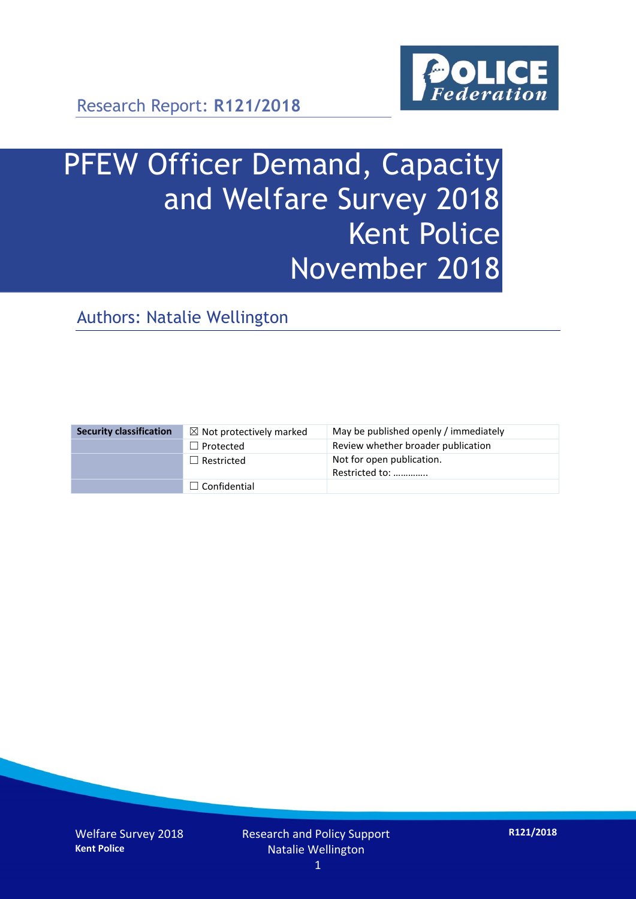

# PFEW Officer Demand, Capacity and Welfare Survey 2018 Kent Police November 2018

Authors: Natalie Wellington

| <b>Security classification</b> | $\boxtimes$ Not protectively marked | May be published openly / immediately       |
|--------------------------------|-------------------------------------|---------------------------------------------|
|                                | $\Box$ Protected                    | Review whether broader publication          |
|                                | $\Box$ Restricted                   | Not for open publication.<br>Restricted to: |
|                                | $\Box$ Confidential                 |                                             |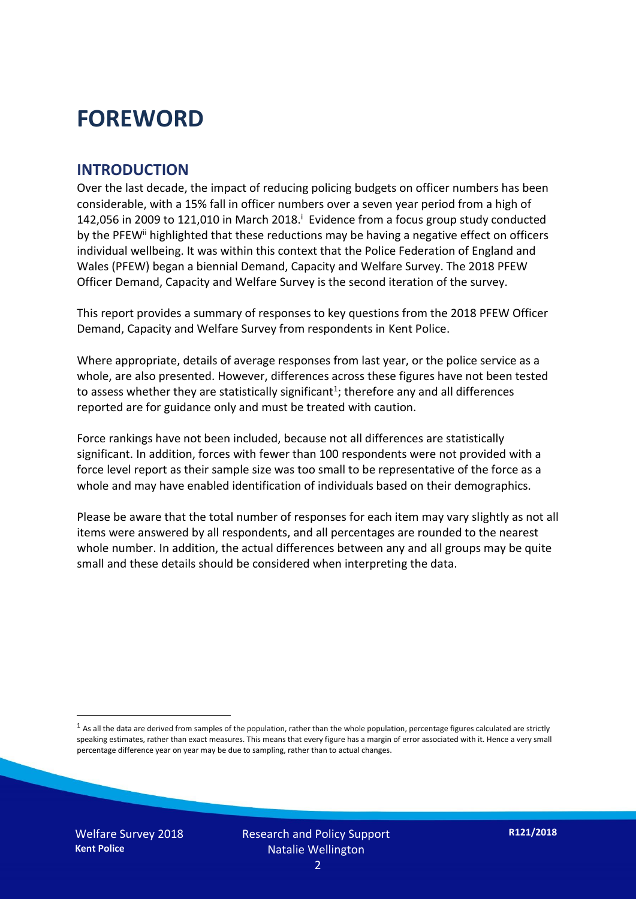## **FOREWORD**

#### **INTRODUCTION**

Over the last decade, the impact of reducing policing budgets on officer numbers has been considerable, with a 15% fall in officer numbers over a seven year period from a high of 142,056 in 2009 to 121,010 in March 2018. $^{\mathrm{i}}$  Evidence from a focus group study conducted by the PFEW<sup>ii</sup> highlighted that these reductions may be having a negative effect on officers individual wellbeing. It was within this context that the Police Federation of England and Wales (PFEW) began a biennial Demand, Capacity and Welfare Survey. The 2018 PFEW Officer Demand, Capacity and Welfare Survey is the second iteration of the survey.

This report provides a summary of responses to key questions from the 2018 PFEW Officer Demand, Capacity and Welfare Survey from respondents in Kent Police.

Where appropriate, details of average responses from last year, or the police service as a whole, are also presented. However, differences across these figures have not been tested to assess whether they are statistically significant<sup>1</sup>; therefore any and all differences reported are for guidance only and must be treated with caution.

Force rankings have not been included, because not all differences are statistically significant. In addition, forces with fewer than 100 respondents were not provided with a force level report as their sample size was too small to be representative of the force as a whole and may have enabled identification of individuals based on their demographics.

Please be aware that the total number of responses for each item may vary slightly as not all items were answered by all respondents, and all percentages are rounded to the nearest whole number. In addition, the actual differences between any and all groups may be quite small and these details should be considered when interpreting the data.

-

 $<sup>1</sup>$  As all the data are derived from samples of the population, rather than the whole population, percentage figures calculated are strictly</sup> speaking estimates, rather than exact measures. This means that every figure has a margin of error associated with it. Hence a very small percentage difference year on year may be due to sampling, rather than to actual changes.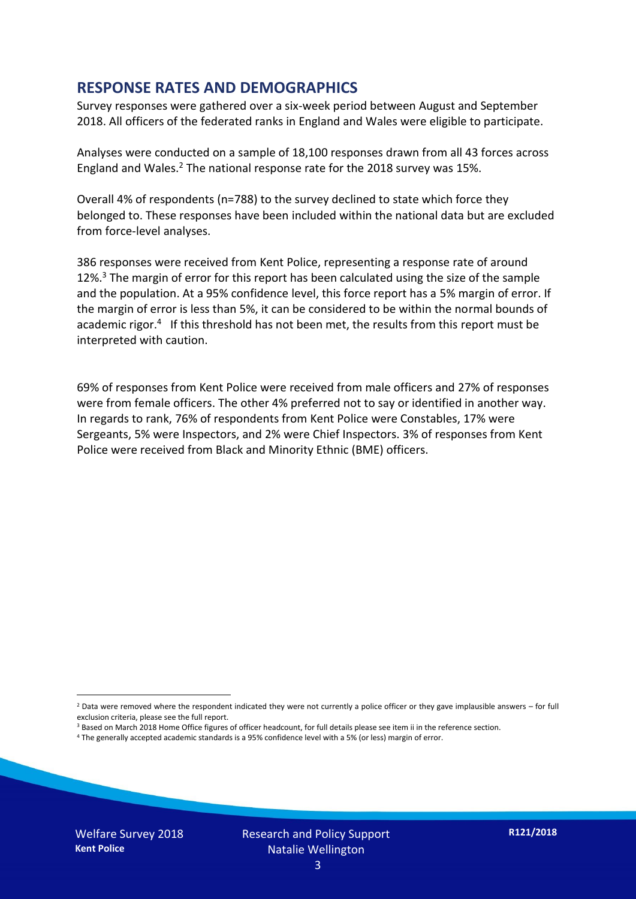#### **RESPONSE RATES AND DEMOGRAPHICS**

Survey responses were gathered over a six-week period between August and September 2018. All officers of the federated ranks in England and Wales were eligible to participate.

Analyses were conducted on a sample of 18,100 responses drawn from all 43 forces across England and Wales.<sup>2</sup> The national response rate for the 2018 survey was 15%.

Overall 4% of respondents (n=788) to the survey declined to state which force they belonged to. These responses have been included within the national data but are excluded from force-level analyses.

386 responses were received from Kent Police, representing a response rate of around 12%.<sup>3</sup> The margin of error for this report has been calculated using the size of the sample and the population. At a 95% confidence level, this force report has a 5% margin of error. If the margin of error is less than 5%, it can be considered to be within the normal bounds of academic rigor.<sup>4</sup> If this threshold has not been met, the results from this report must be interpreted with caution.

69% of responses from Kent Police were received from male officers and 27% of responses were from female officers. The other 4% preferred not to say or identified in another way. In regards to rank, 76% of respondents from Kent Police were Constables, 17% were Sergeants, 5% were Inspectors, and 2% were Chief Inspectors. 3% of responses from Kent Police were received from Black and Minority Ethnic (BME) officers.

- <sup>3</sup> Based on March 2018 Home Office figures of officer headcount, for full details please see item ii in the reference section.
- <sup>4</sup> The generally accepted academic standards is a 95% confidence level with a 5% (or less) margin of error.

-

 $2$  Data were removed where the respondent indicated they were not currently a police officer or they gave implausible answers – for full exclusion criteria, please see the full report.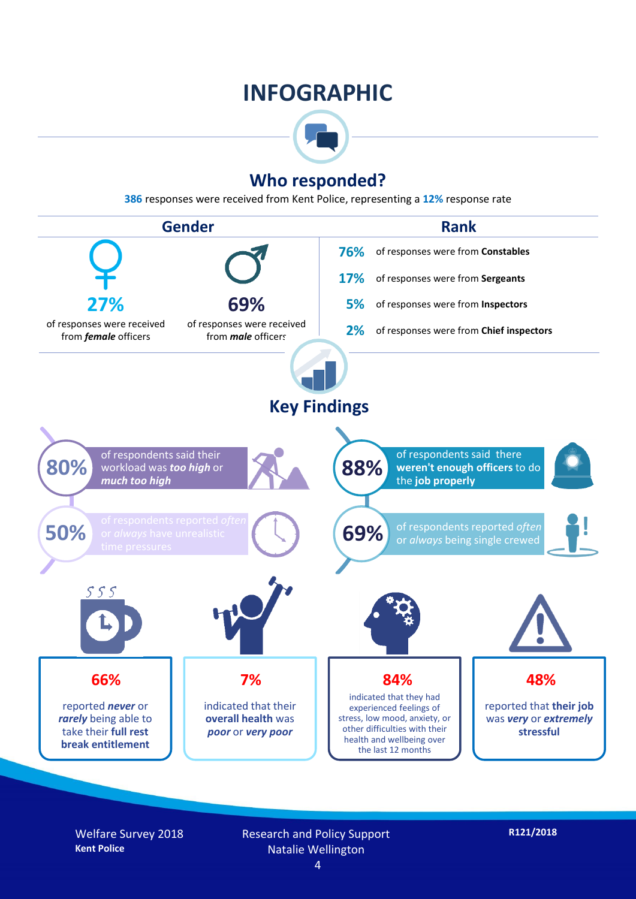## **INFOGRAPHIC**



### **Who responded?**

**386** responses were received from Kent Police, representing a **12%** response rate



Welfare Survey 2018 **Kent Police**

Research and Policy Support Natalie Wellington 4

**R121/2018**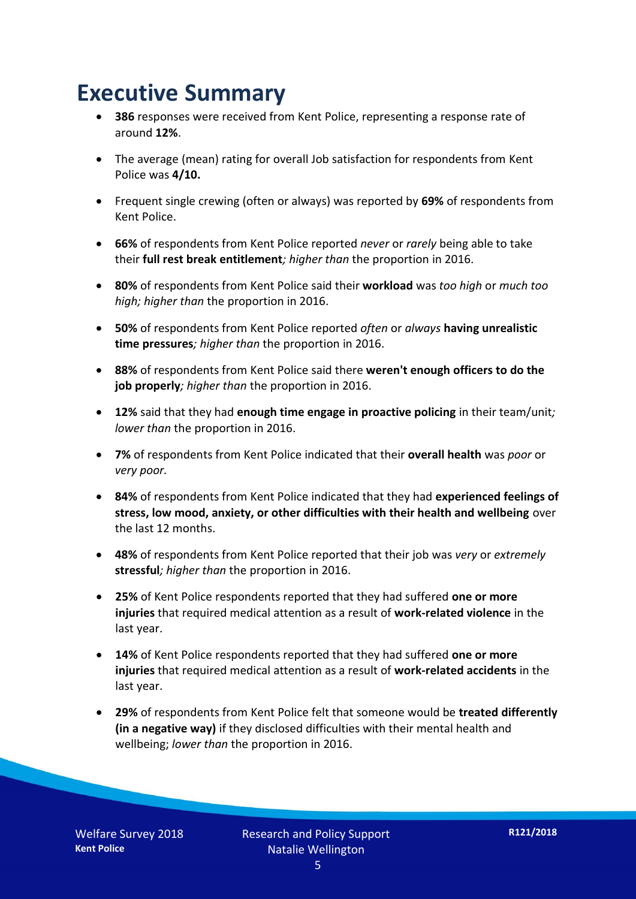## **Executive Summary**

- **386** responses were received from Kent Police, representing a response rate of around **12%**.
- The average (mean) rating for overall Job satisfaction for respondents from Kent Police was **4/10.**
- Frequent single crewing (often or always) was reported by **69%** of respondents from Kent Police.
- **66%** of respondents from Kent Police reported *never* or *rarely* being able to take their **full rest break entitlement***; higher than* the proportion in 2016.
- **80%** of respondents from Kent Police said their **workload** was *too high* or *much too high; higher than* the proportion in 2016.
- **50%** of respondents from Kent Police reported *often* or *always* **having unrealistic time pressures***; higher than* the proportion in 2016.
- **88%** of respondents from Kent Police said there **weren't enough officers to do the job properly***; higher than* the proportion in 2016.
- **12%** said that they had **enough time engage in proactive policing** in their team/unit*; lower than* the proportion in 2016.
- **7%** of respondents from Kent Police indicated that their **overall health** was *poor* or *very poor.*
- **84%** of respondents from Kent Police indicated that they had **experienced feelings of stress, low mood, anxiety, or other difficulties with their health and wellbeing** over the last 12 months.
- **48%** of respondents from Kent Police reported that their job was *very* or *extremely*  **stressful***; higher than* the proportion in 2016.
- **25%** of Kent Police respondents reported that they had suffered **one or more injuries** that required medical attention as a result of **work-related violence** in the last year.
- **14%** of Kent Police respondents reported that they had suffered **one or more injuries** that required medical attention as a result of **work-related accidents** in the last year.
- **29%** of respondents from Kent Police felt that someone would be **treated differently (in a negative way)** if they disclosed difficulties with their mental health and wellbeing; *lower than* the proportion in 2016.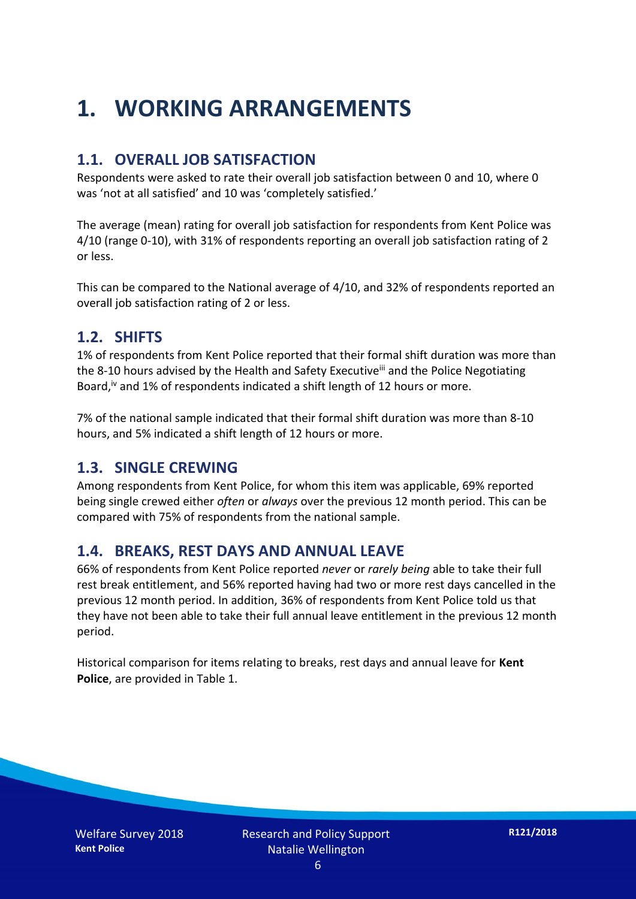## **1. WORKING ARRANGEMENTS**

### **1.1. OVERALL JOB SATISFACTION**

Respondents were asked to rate their overall job satisfaction between 0 and 10, where 0 was 'not at all satisfied' and 10 was 'completely satisfied.'

The average (mean) rating for overall job satisfaction for respondents from Kent Police was 4/10 (range 0-10), with 31% of respondents reporting an overall job satisfaction rating of 2 or less.

This can be compared to the National average of 4/10, and 32% of respondents reported an overall job satisfaction rating of 2 or less.

#### **1.2. SHIFTS**

1% of respondents from Kent Police reported that their formal shift duration was more than the 8-10 hours advised by the Health and Safety Executive<sup>iii</sup> and the Police Negotiating Board,<sup>iv</sup> and 1% of respondents indicated a shift length of 12 hours or more.

7% of the national sample indicated that their formal shift duration was more than 8-10 hours, and 5% indicated a shift length of 12 hours or more.

#### **1.3. SINGLE CREWING**

Among respondents from Kent Police, for whom this item was applicable, 69% reported being single crewed either *often* or *always* over the previous 12 month period. This can be compared with 75% of respondents from the national sample.

#### **1.4. BREAKS, REST DAYS AND ANNUAL LEAVE**

66% of respondents from Kent Police reported *never* or *rarely being* able to take their full rest break entitlement, and 56% reported having had two or more rest days cancelled in the previous 12 month period. In addition, 36% of respondents from Kent Police told us that they have not been able to take their full annual leave entitlement in the previous 12 month period.

Historical comparison for items relating to breaks, rest days and annual leave for **Kent Police**, are provided in Table 1.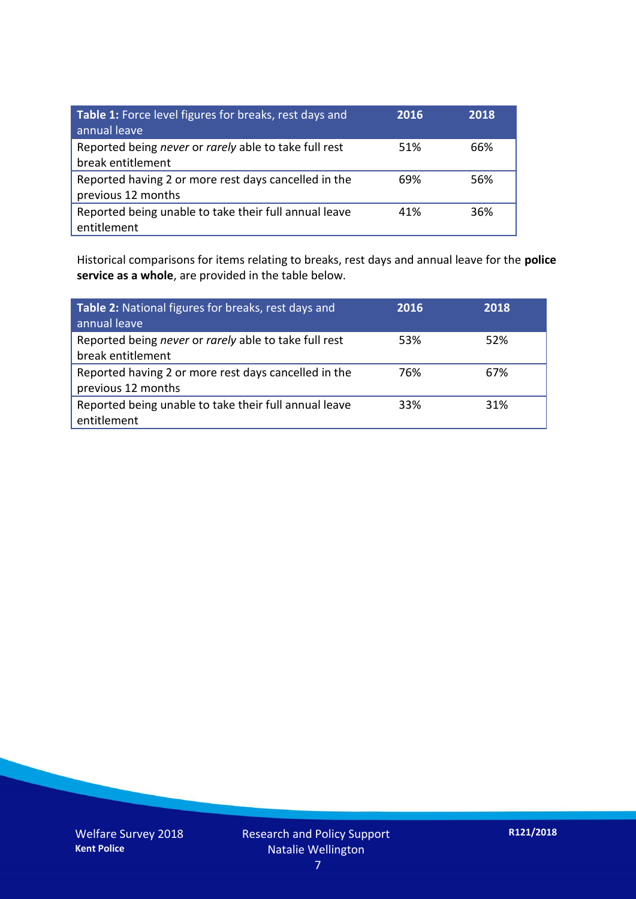| Table 1: Force level figures for breaks, rest days and<br>annual leave     | 2016 | 2018 |
|----------------------------------------------------------------------------|------|------|
| Reported being never or rarely able to take full rest<br>break entitlement | 51%  | 66%  |
| Reported having 2 or more rest days cancelled in the<br>previous 12 months | 69%  | 56%  |
| Reported being unable to take their full annual leave<br>entitlement       | 41%  | 36%  |

Historical comparisons for items relating to breaks, rest days and annual leave for the **police service as a whole**, are provided in the table below.

| Table 2: National figures for breaks, rest days and<br>annual leave        | 2016 | 2018 |
|----------------------------------------------------------------------------|------|------|
| Reported being never or rarely able to take full rest<br>break entitlement | 53%  | 52%  |
| Reported having 2 or more rest days cancelled in the<br>previous 12 months | 76%  | 67%  |
| Reported being unable to take their full annual leave<br>entitlement       | 33%  | 31%  |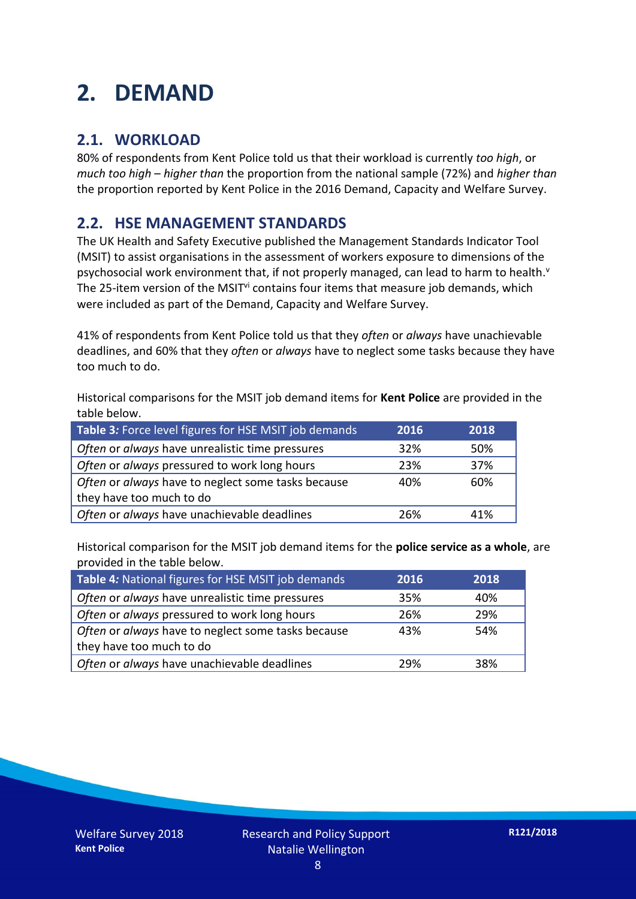## **2. DEMAND**

### **2.1. WORKLOAD**

80% of respondents from Kent Police told us that their workload is currently *too high*, or *much too high* – *higher than* the proportion from the national sample (72%) and *higher than* the proportion reported by Kent Police in the 2016 Demand, Capacity and Welfare Survey.

### **2.2. HSE MANAGEMENT STANDARDS**

The UK Health and Safety Executive published the Management Standards Indicator Tool (MSIT) to assist organisations in the assessment of workers exposure to dimensions of the psychosocial work environment that, if not properly managed, can lead to harm to health.<sup>v</sup> The 25-item version of the MSIT<sup>vi</sup> contains four items that measure job demands, which were included as part of the Demand, Capacity and Welfare Survey.

41% of respondents from Kent Police told us that they *often* or *always* have unachievable deadlines, and 60% that they *often* or *always* have to neglect some tasks because they have too much to do.

Historical comparisons for the MSIT job demand items for **Kent Police** are provided in the table below.

| Table 3: Force level figures for HSE MSIT job demands | 2016 | 2018 |
|-------------------------------------------------------|------|------|
| Often or always have unrealistic time pressures       | 32%  | 50%  |
| Often or always pressured to work long hours          | 23%  | 37%  |
| Often or always have to neglect some tasks because    | 40%  | 60%  |
| they have too much to do                              |      |      |
| Often or always have unachievable deadlines           | 26%  | 41%  |

Historical comparison for the MSIT job demand items for the **police service as a whole**, are provided in the table below.

| Table 4: National figures for HSE MSIT job demands | 2016 | 2018 |
|----------------------------------------------------|------|------|
| Often or always have unrealistic time pressures    | 35%  | 40%  |
| Often or always pressured to work long hours       | 26%  | 29%  |
| Often or always have to neglect some tasks because | 43%  | 54%  |
| they have too much to do                           |      |      |
| Often or always have unachievable deadlines        | 29%  | 38%  |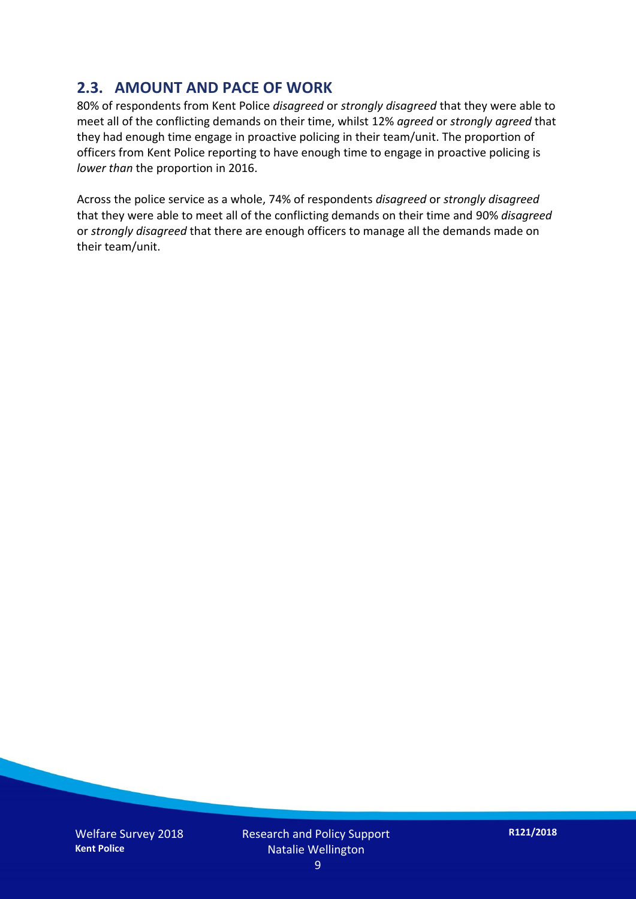### **2.3. AMOUNT AND PACE OF WORK**

80% of respondents from Kent Police *disagreed* or *strongly disagreed* that they were able to meet all of the conflicting demands on their time, whilst 12% *agreed* or *strongly agreed* that they had enough time engage in proactive policing in their team/unit. The proportion of officers from Kent Police reporting to have enough time to engage in proactive policing is *lower than* the proportion in 2016.

Across the police service as a whole, 74% of respondents *disagreed* or *strongly disagreed* that they were able to meet all of the conflicting demands on their time and 90% *disagreed* or *strongly disagreed* that there are enough officers to manage all the demands made on their team/unit.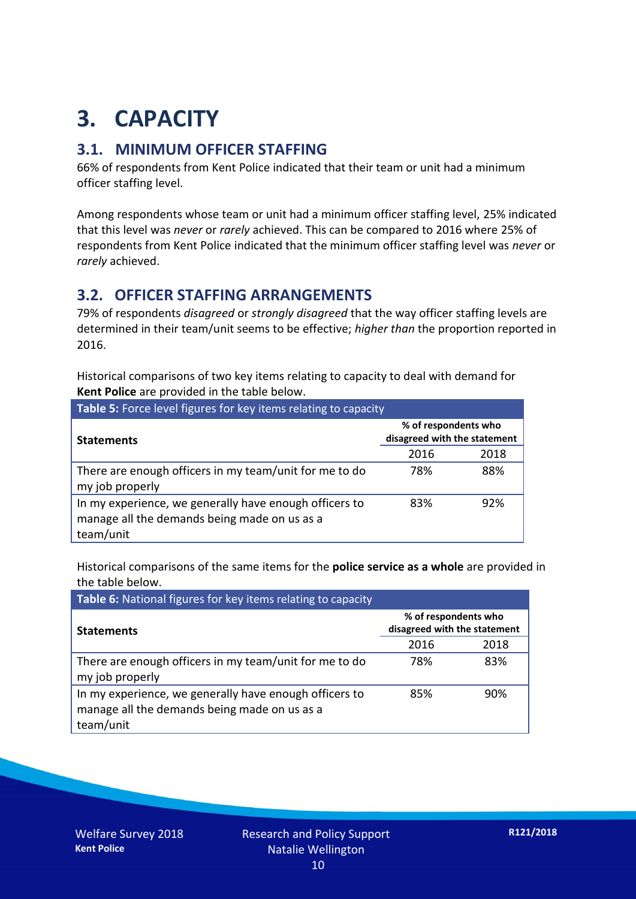## **3. CAPACITY**

### **3.1. MINIMUM OFFICER STAFFING**

66% of respondents from Kent Police indicated that their team or unit had a minimum officer staffing level.

Among respondents whose team or unit had a minimum officer staffing level, 25% indicated that this level was *never* or *rarely* achieved. This can be compared to 2016 where 25% of respondents from Kent Police indicated that the minimum officer staffing level was *never* or *rarely* achieved.

### **3.2. OFFICER STAFFING ARRANGEMENTS**

79% of respondents *disagreed* or *strongly disagreed* that the way officer staffing levels are determined in their team/unit seems to be effective; *higher than* the proportion reported in 2016.

Historical comparisons of two key items relating to capacity to deal with demand for **Kent Police** are provided in the table below.

| Table 5: Force level figures for key items relating to capacity                                                     |                                                      |      |  |
|---------------------------------------------------------------------------------------------------------------------|------------------------------------------------------|------|--|
| <b>Statements</b>                                                                                                   | % of respondents who<br>disagreed with the statement |      |  |
|                                                                                                                     | 2016                                                 | 2018 |  |
| There are enough officers in my team/unit for me to do<br>my job properly                                           | 78%                                                  | 88%  |  |
| In my experience, we generally have enough officers to<br>manage all the demands being made on us as a<br>team/unit | 83%                                                  | 92%  |  |

Historical comparisons of the same items for the **police service as a whole** are provided in the table below.

| Table 6: National figures for key items relating to capacity                                                        |                                                      |      |  |
|---------------------------------------------------------------------------------------------------------------------|------------------------------------------------------|------|--|
| <b>Statements</b>                                                                                                   | % of respondents who<br>disagreed with the statement |      |  |
|                                                                                                                     | 2016                                                 | 2018 |  |
| There are enough officers in my team/unit for me to do<br>my job properly                                           | 78%                                                  | 83%  |  |
| In my experience, we generally have enough officers to<br>manage all the demands being made on us as a<br>team/unit | 85%                                                  | 90%  |  |

Welfare Survey 2018 **Kent Police**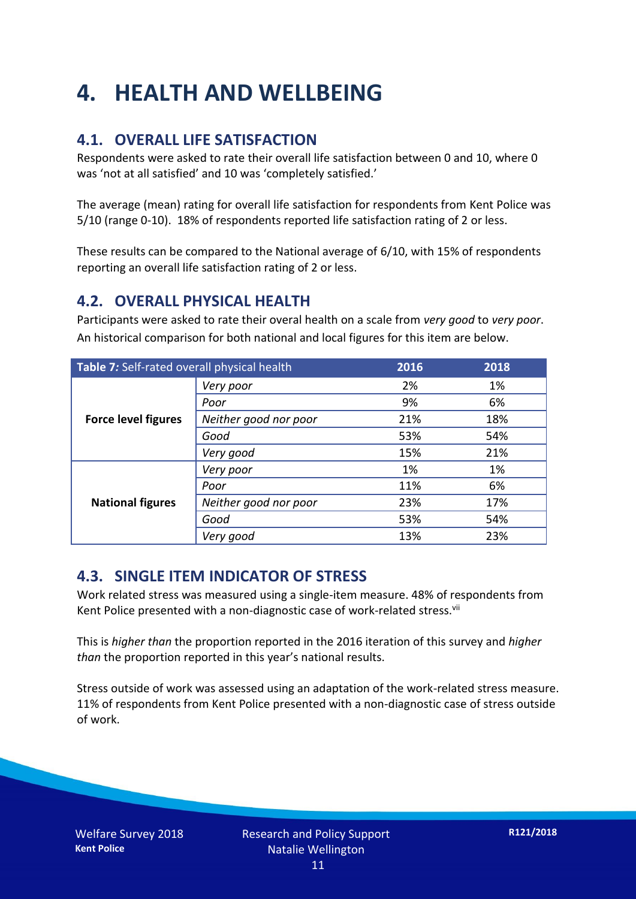## **4. HEALTH AND WELLBEING**

### **4.1. OVERALL LIFE SATISFACTION**

Respondents were asked to rate their overall life satisfaction between 0 and 10, where 0 was 'not at all satisfied' and 10 was 'completely satisfied.'

The average (mean) rating for overall life satisfaction for respondents from Kent Police was 5/10 (range 0-10). 18% of respondents reported life satisfaction rating of 2 or less.

These results can be compared to the National average of 6/10, with 15% of respondents reporting an overall life satisfaction rating of 2 or less.

#### **4.2. OVERALL PHYSICAL HEALTH**

Participants were asked to rate their overal health on a scale from *very good* to *very poor*. An historical comparison for both national and local figures for this item are below.

| Table 7: Self-rated overall physical health |                       | 2016 | 2018 |
|---------------------------------------------|-----------------------|------|------|
| <b>Force level figures</b>                  | Very poor             | 2%   | 1%   |
|                                             | Poor                  | 9%   | 6%   |
|                                             | Neither good nor poor | 21%  | 18%  |
|                                             | Good                  | 53%  | 54%  |
|                                             | Very good             | 15%  | 21%  |
| <b>National figures</b>                     | Very poor             | 1%   | 1%   |
|                                             | Poor                  | 11%  | 6%   |
|                                             | Neither good nor poor | 23%  | 17%  |
|                                             | Good                  | 53%  | 54%  |
|                                             | Very good             | 13%  | 23%  |

#### **4.3. SINGLE ITEM INDICATOR OF STRESS**

Work related stress was measured using a single-item measure. 48% of respondents from Kent Police presented with a non-diagnostic case of work-related stress.<sup>vii</sup>

This is *higher than* the proportion reported in the 2016 iteration of this survey and *higher than* the proportion reported in this year's national results.

Stress outside of work was assessed using an adaptation of the work-related stress measure. 11% of respondents from Kent Police presented with a non-diagnostic case of stress outside of work.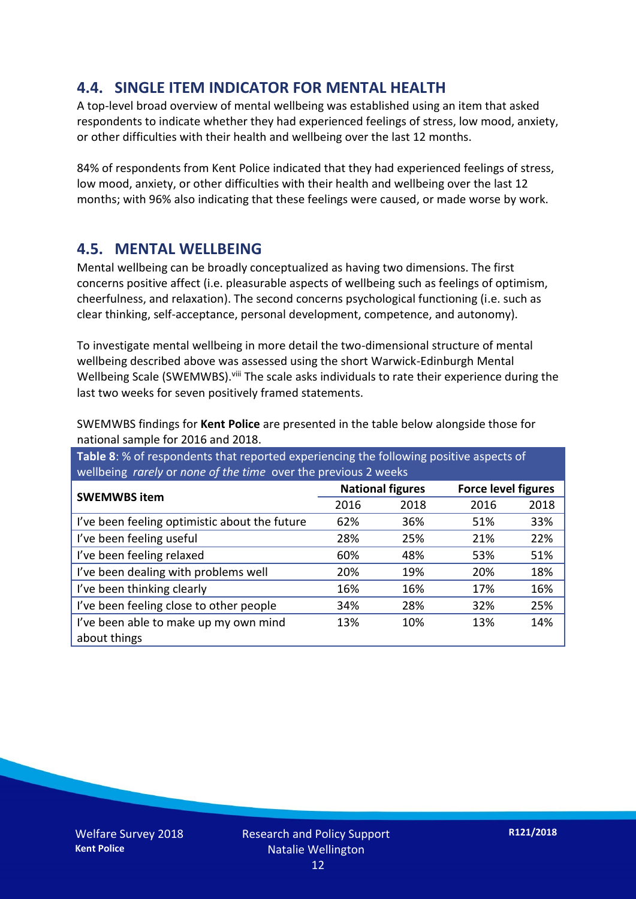### **4.4. SINGLE ITEM INDICATOR FOR MENTAL HEALTH**

A top-level broad overview of mental wellbeing was established using an item that asked respondents to indicate whether they had experienced feelings of stress, low mood, anxiety, or other difficulties with their health and wellbeing over the last 12 months.

84% of respondents from Kent Police indicated that they had experienced feelings of stress, low mood, anxiety, or other difficulties with their health and wellbeing over the last 12 months; with 96% also indicating that these feelings were caused, or made worse by work.

#### **4.5. MENTAL WELLBEING**

Mental wellbeing can be broadly conceptualized as having two dimensions. The first concerns positive affect (i.e. pleasurable aspects of wellbeing such as feelings of optimism, cheerfulness, and relaxation). The second concerns psychological functioning (i.e. such as clear thinking, self-acceptance, personal development, competence, and autonomy).

To investigate mental wellbeing in more detail the two-dimensional structure of mental wellbeing described above was assessed using the short Warwick-Edinburgh Mental Wellbeing Scale (SWEMWBS). viii The scale asks individuals to rate their experience during the last two weeks for seven positively framed statements.

SWEMWBS findings for **Kent Police** are presented in the table below alongside those for national sample for 2016 and 2018.

**Table 8**: % of respondents that reported experiencing the following positive aspects of wellbeing *rarely* or *none of the time* over the previous 2 weeks

| <b>SWEMWBS item</b>                           | <b>National figures</b> |      | <b>Force level figures</b> |      |
|-----------------------------------------------|-------------------------|------|----------------------------|------|
|                                               | 2016                    | 2018 | 2016                       | 2018 |
| I've been feeling optimistic about the future | 62%                     | 36%  | 51%                        | 33%  |
| I've been feeling useful                      | 28%                     | 25%  | 21%                        | 22%  |
| I've been feeling relaxed                     | 60%                     | 48%  | 53%                        | 51%  |
| I've been dealing with problems well          | 20%                     | 19%  | 20%                        | 18%  |
| I've been thinking clearly                    | 16%                     | 16%  | 17%                        | 16%  |
| I've been feeling close to other people       | 34%                     | 28%  | 32%                        | 25%  |
| I've been able to make up my own mind         | 13%                     | 10%  | 13%                        | 14%  |
| about things                                  |                         |      |                            |      |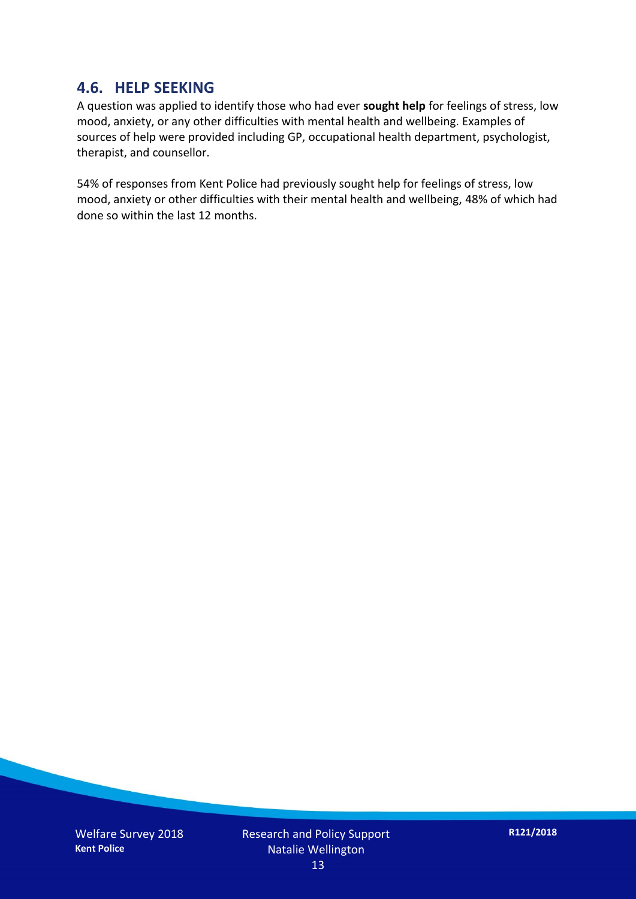#### **4.6. HELP SEEKING**

A question was applied to identify those who had ever **sought help** for feelings of stress, low mood, anxiety, or any other difficulties with mental health and wellbeing. Examples of sources of help were provided including GP, occupational health department, psychologist, therapist, and counsellor.

54% of responses from Kent Police had previously sought help for feelings of stress, low mood, anxiety or other difficulties with their mental health and wellbeing, 48% of which had done so within the last 12 months.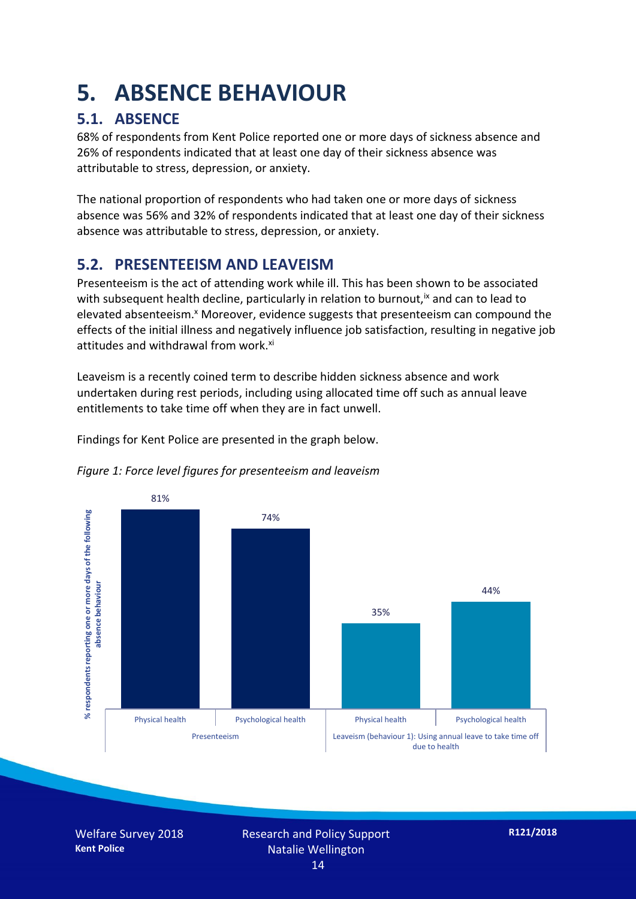## **5. ABSENCE BEHAVIOUR**

## **5.1. ABSENCE**

68% of respondents from Kent Police reported one or more days of sickness absence and 26% of respondents indicated that at least one day of their sickness absence was attributable to stress, depression, or anxiety.

The national proportion of respondents who had taken one or more days of sickness absence was 56% and 32% of respondents indicated that at least one day of their sickness absence was attributable to stress, depression, or anxiety.

### **5.2. PRESENTEEISM AND LEAVEISM**

Presenteeism is the act of attending work while ill. This has been shown to be associated with subsequent health decline, particularly in relation to burnout,  $\alpha$  and can to lead to elevated absenteeism.<sup>x</sup> Moreover, evidence suggests that presenteeism can compound the effects of the initial illness and negatively influence job satisfaction, resulting in negative job attitudes and withdrawal from work.<sup>xi</sup>

Leaveism is a recently coined term to describe hidden sickness absence and work undertaken during rest periods, including using allocated time off such as annual leave entitlements to take time off when they are in fact unwell.

Findings for Kent Police are presented in the graph below.





Welfare Survey 2018 **Kent Police**

Research and Policy Support Natalie Wellington 14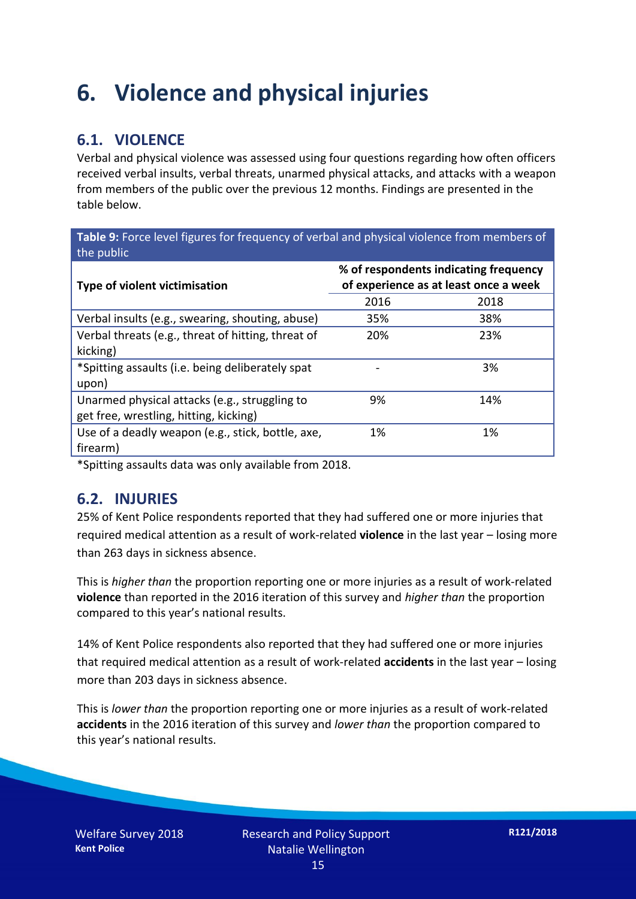## **6. Violence and physical injuries**

## **6.1. VIOLENCE**

Verbal and physical violence was assessed using four questions regarding how often officers received verbal insults, verbal threats, unarmed physical attacks, and attacks with a weapon from members of the public over the previous 12 months. Findings are presented in the table below.

**Table 9:** Force level figures for frequency of verbal and physical violence from members of the public

| <b>Type of violent victimisation</b>               | % of respondents indicating frequency<br>of experience as at least once a week |      |  |
|----------------------------------------------------|--------------------------------------------------------------------------------|------|--|
|                                                    | 2016                                                                           | 2018 |  |
| Verbal insults (e.g., swearing, shouting, abuse)   | 35%                                                                            | 38%  |  |
| Verbal threats (e.g., threat of hitting, threat of | 20%                                                                            | 23%  |  |
| kicking)                                           |                                                                                |      |  |
| *Spitting assaults (i.e. being deliberately spat   |                                                                                | 3%   |  |
| upon)                                              |                                                                                |      |  |
| Unarmed physical attacks (e.g., struggling to      | 9%                                                                             | 14%  |  |
| get free, wrestling, hitting, kicking)             |                                                                                |      |  |
| Use of a deadly weapon (e.g., stick, bottle, axe,  | 1%                                                                             | 1%   |  |
| firearm)                                           |                                                                                |      |  |

\*Spitting assaults data was only available from 2018.

#### **6.2. INJURIES**

25% of Kent Police respondents reported that they had suffered one or more injuries that required medical attention as a result of work-related **violence** in the last year – losing more than 263 days in sickness absence.

This is *higher than* the proportion reporting one or more injuries as a result of work-related **violence** than reported in the 2016 iteration of this survey and *higher than* the proportion compared to this year's national results.

14% of Kent Police respondents also reported that they had suffered one or more injuries that required medical attention as a result of work-related **accidents** in the last year – losing more than 203 days in sickness absence.

This is *lower than* the proportion reporting one or more injuries as a result of work-related **accidents** in the 2016 iteration of this survey and *lower than* the proportion compared to this year's national results.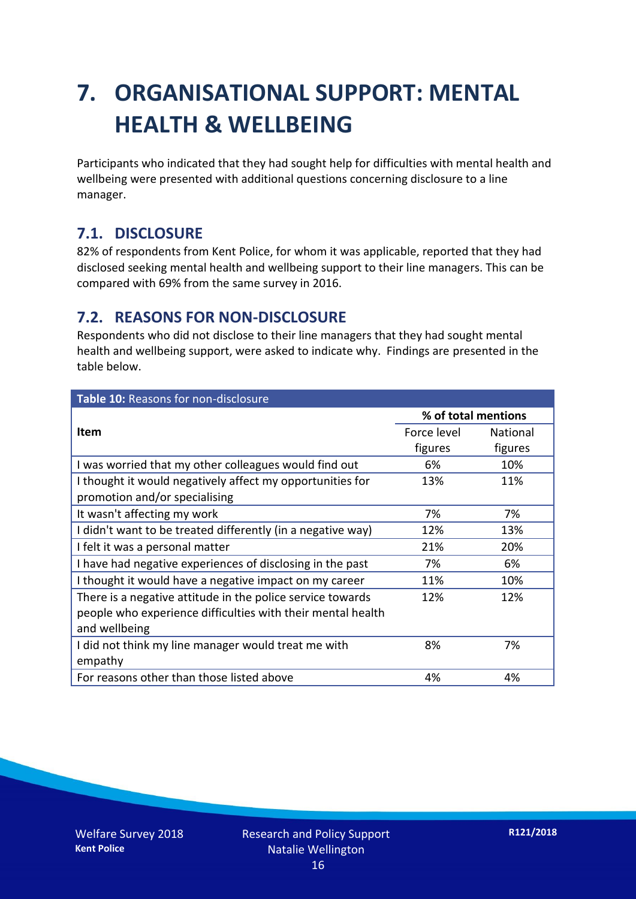## **7. ORGANISATIONAL SUPPORT: MENTAL HEALTH & WELLBEING**

Participants who indicated that they had sought help for difficulties with mental health and wellbeing were presented with additional questions concerning disclosure to a line manager.

### **7.1. DISCLOSURE**

82% of respondents from Kent Police, for whom it was applicable, reported that they had disclosed seeking mental health and wellbeing support to their line managers. This can be compared with 69% from the same survey in 2016.

### **7.2. REASONS FOR NON-DISCLOSURE**

Respondents who did not disclose to their line managers that they had sought mental health and wellbeing support, were asked to indicate why. Findings are presented in the table below.

| Table 10: Reasons for non-disclosure                        |                     |                 |  |
|-------------------------------------------------------------|---------------------|-----------------|--|
|                                                             | % of total mentions |                 |  |
| Item                                                        | Force level         | <b>National</b> |  |
|                                                             | figures             | figures         |  |
| I was worried that my other colleagues would find out       | 6%                  | 10%             |  |
| I thought it would negatively affect my opportunities for   | 13%                 | 11%             |  |
| promotion and/or specialising                               |                     |                 |  |
| It wasn't affecting my work                                 | 7%                  | 7%              |  |
| I didn't want to be treated differently (in a negative way) | 12%                 | 13%             |  |
| I felt it was a personal matter                             | 21%                 | 20%             |  |
| I have had negative experiences of disclosing in the past   | 7%                  | 6%              |  |
| I thought it would have a negative impact on my career      | 11%                 | 10%             |  |
| There is a negative attitude in the police service towards  | 12%                 | 12%             |  |
| people who experience difficulties with their mental health |                     |                 |  |
| and wellbeing                                               |                     |                 |  |
| I did not think my line manager would treat me with         | 8%                  | 7%              |  |
| empathy                                                     |                     |                 |  |
| For reasons other than those listed above                   | 4%                  | 4%              |  |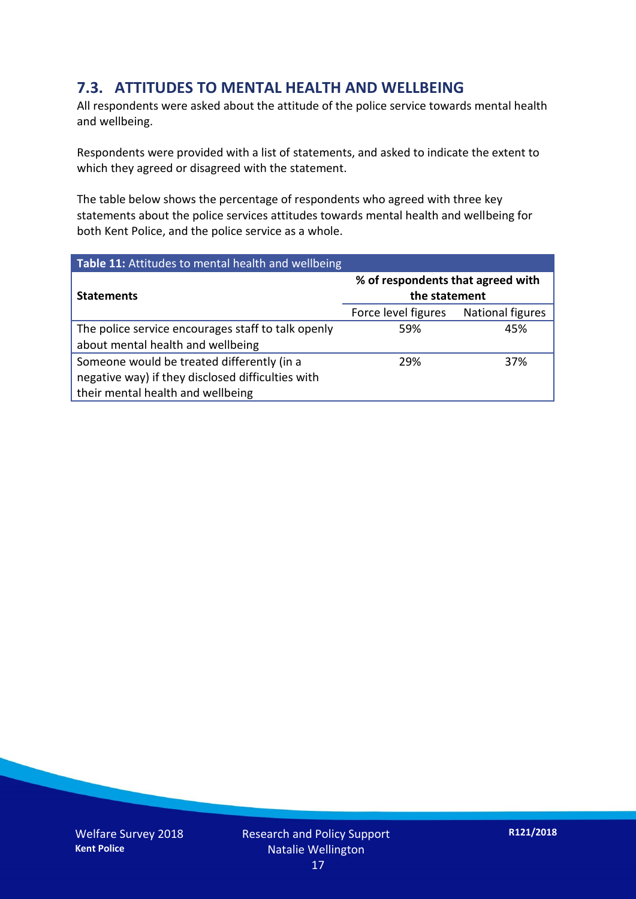### **7.3. ATTITUDES TO MENTAL HEALTH AND WELLBEING**

All respondents were asked about the attitude of the police service towards mental health and wellbeing.

Respondents were provided with a list of statements, and asked to indicate the extent to which they agreed or disagreed with the statement.

The table below shows the percentage of respondents who agreed with three key statements about the police services attitudes towards mental health and wellbeing for both Kent Police, and the police service as a whole.

| Table 11: Attitudes to mental health and wellbeing |                                                    |                  |
|----------------------------------------------------|----------------------------------------------------|------------------|
| <b>Statements</b>                                  | % of respondents that agreed with<br>the statement |                  |
|                                                    | Force level figures                                | National figures |
| The police service encourages staff to talk openly | 59%                                                | 45%              |
| about mental health and wellbeing                  |                                                    |                  |
| Someone would be treated differently (in a         | 29%                                                | 37%              |
| negative way) if they disclosed difficulties with  |                                                    |                  |
| their mental health and wellbeing                  |                                                    |                  |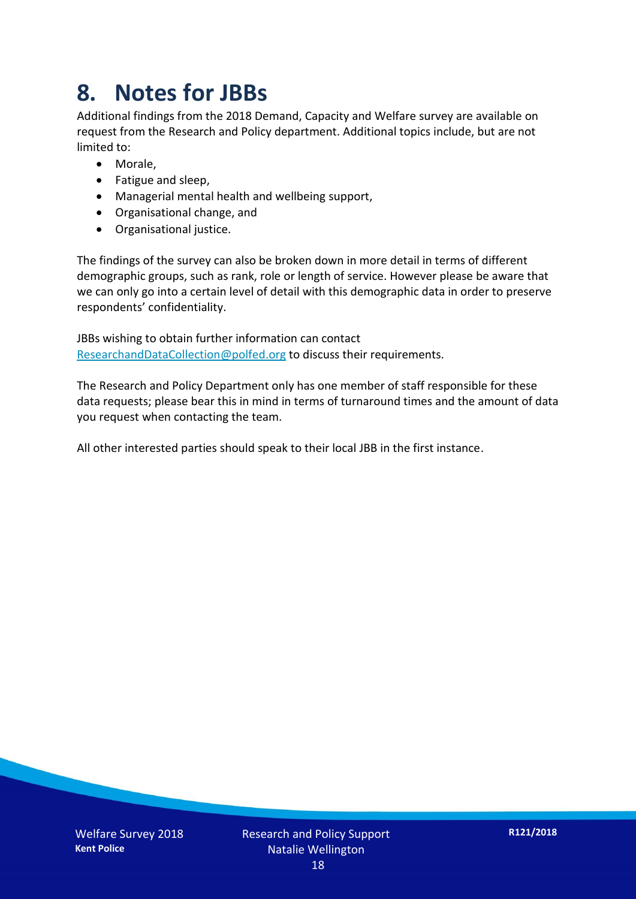## **8. Notes for JBBs**

Additional findings from the 2018 Demand, Capacity and Welfare survey are available on request from the Research and Policy department. Additional topics include, but are not limited to:

- Morale,
- Fatigue and sleep,
- Managerial mental health and wellbeing support,
- Organisational change, and
- Organisational justice.

The findings of the survey can also be broken down in more detail in terms of different demographic groups, such as rank, role or length of service. However please be aware that we can only go into a certain level of detail with this demographic data in order to preserve respondents' confidentiality.

JBBs wishing to obtain further information can contact [ResearchandDataCollection@polfed.org](mailto:ResearchandDataCollection@polfed.org) to discuss their requirements.

The Research and Policy Department only has one member of staff responsible for these data requests; please bear this in mind in terms of turnaround times and the amount of data you request when contacting the team.

All other interested parties should speak to their local JBB in the first instance.